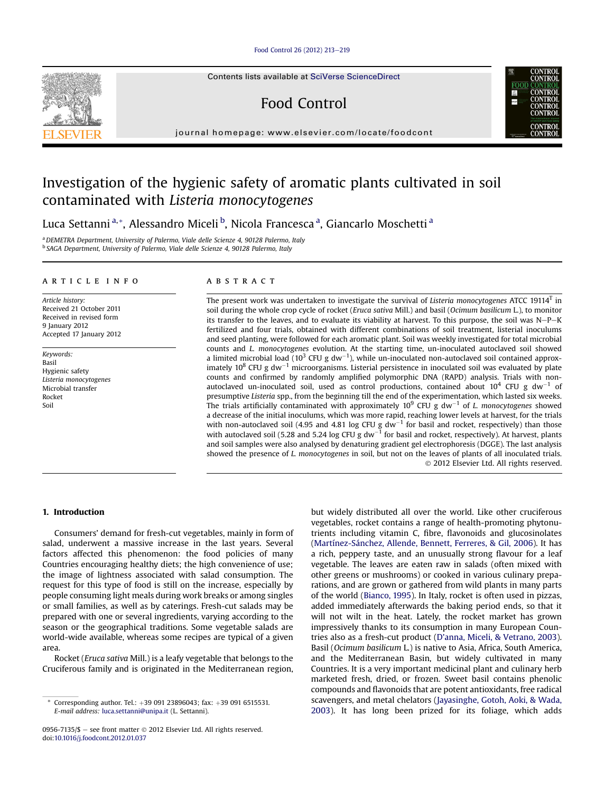# [Food Control 26 \(2012\) 213](http://dx.doi.org/10.1016/j.foodcont.2012.01.037)-[219](http://dx.doi.org/10.1016/j.foodcont.2012.01.037)

Contents lists available at [SciVerse ScienceDirect](www.sciencedirect.com/science/journal/09567135)

# Food Control



# Investigation of the hygienic safety of aromatic plants cultivated in soil contaminated with Listeria monocytogenes

Luca Settanni <sup>a, «</sup>, Alessandro Miceli <sup>b</sup>, Nicola Francesca <sup>a</sup>, Giancarlo Moschetti <sup>a</sup>

<sup>a</sup> DEMETRA Department, University of Palermo, Viale delle Scienze 4, 90128 Palermo, Italy <sup>b</sup> SAGA Department, University of Palermo, Viale delle Scienze 4, 90128 Palermo, Italy

## article info

Article history: Received 21 October 2011 Received in revised form 9 January 2012 Accepted 17 January 2012

Keywords: Basil Hygienic safety Listeria monocytogenes Microbial transfer Rocket Soil

# **ABSTRACT**

The present work was undertaken to investigate the survival of Listeria monocytogenes ATCC 1911 $4<sup>T</sup>$  in soil during the whole crop cycle of rocket (Eruca sativa Mill.) and basil (Ocimum basilicum L.), to monitor its transfer to the leaves, and to evaluate its viability at harvest. To this purpose, the soil was  $N-P-K$ fertilized and four trials, obtained with different combinations of soil treatment, listerial inoculums and seed planting, were followed for each aromatic plant. Soil was weekly investigated for total microbial counts and L. monocytogenes evolution. At the starting time, un-inoculated autoclaved soil showed a limited microbial load (10<sup>3</sup> CFU g dw<sup>-1</sup>), while un-inoculated non-autoclaved soil contained approximately  $10^8$  CFU g dw<sup>-1</sup> microorganisms. Listerial persistence in inoculated soil was evaluated by plate counts and confirmed by randomly amplified polymorphic DNA (RAPD) analysis. Trials with nonautoclaved un-inoculated soil, used as control productions, contained about  $10^4$  CFU g dw<sup>-1</sup> of presumptive Listeria spp., from the beginning till the end of the experimentation, which lasted six weeks. The trials artificially contaminated with approximately 10<sup>9</sup> CFU g dw<sup>-1</sup> of *L. monocytogenes* showed a decrease of the initial inoculums, which was more rapid, reaching lower levels at harvest, for the trials with non-autoclaved soil (4.95 and 4.81 log CFU g dw<sup>-1</sup> for basil and rocket, respectively) than those with autoclaved soil (5.28 and 5.24 log CFU g dw<sup>-1</sup> for basil and rocket, respectively). At harvest, plants and soil samples were also analysed by denaturing gradient gel electrophoresis (DGGE). The last analysis showed the presence of L. monocytogenes in soil, but not on the leaves of plants of all inoculated trials. 2012 Elsevier Ltd. All rights reserved.

# 1. Introduction

Consumers' demand for fresh-cut vegetables, mainly in form of salad, underwent a massive increase in the last years. Several factors affected this phenomenon: the food policies of many Countries encouraging healthy diets; the high convenience of use; the image of lightness associated with salad consumption. The request for this type of food is still on the increase, especially by people consuming light meals during work breaks or among singles or small families, as well as by caterings. Fresh-cut salads may be prepared with one or several ingredients, varying according to the season or the geographical traditions. Some vegetable salads are world-wide available, whereas some recipes are typical of a given area.

Rocket (Eruca sativa Mill.) is a leafy vegetable that belongs to the Cruciferous family and is originated in the Mediterranean region, but widely distributed all over the world. Like other cruciferous vegetables, rocket contains a range of health-promoting phytonutrients including vitamin C, fibre, flavonoids and glucosinolates ([Martínez-Sánchez, Allende, Bennett, Ferreres, & Gil, 2006\)](#page-6-0). It has a rich, peppery taste, and an unusually strong flavour for a leaf vegetable. The leaves are eaten raw in salads (often mixed with other greens or mushrooms) or cooked in various culinary preparations, and are grown or gathered from wild plants in many parts of the world [\(Bianco, 1995\)](#page-5-0). In Italy, rocket is often used in pizzas, added immediately afterwards the baking period ends, so that it will not wilt in the heat. Lately, the rocket market has grown impressively thanks to its consumption in many European Countries also as a fresh-cut product (D'[anna, Miceli, & Vetrano, 2003\)](#page-5-0). Basil (Ocimum basilicum L.) is native to Asia, Africa, South America, and the Mediterranean Basin, but widely cultivated in many Countries. It is a very important medicinal plant and culinary herb marketed fresh, dried, or frozen. Sweet basil contains phenolic compounds and flavonoids that are potent antioxidants, free radical scavengers, and metal chelators ([Jayasinghe, Gotoh, Aoki, & Wada,](#page-6-0) [2003\)](#page-6-0). It has long been prized for its foliage, which adds





Corresponding author. Tel.:  $+39$  091 23896043; fax:  $+39$  091 6515531. E-mail address: [luca.settanni@unipa.it](mailto:luca.settanni@unipa.it) (L. Settanni).

<sup>0956-7135/\$ -</sup> see front matter  $\odot$  2012 Elsevier Ltd. All rights reserved. doi[:10.1016/j.foodcont.2012.01.037](http://dx.doi.org/10.1016/j.foodcont.2012.01.037)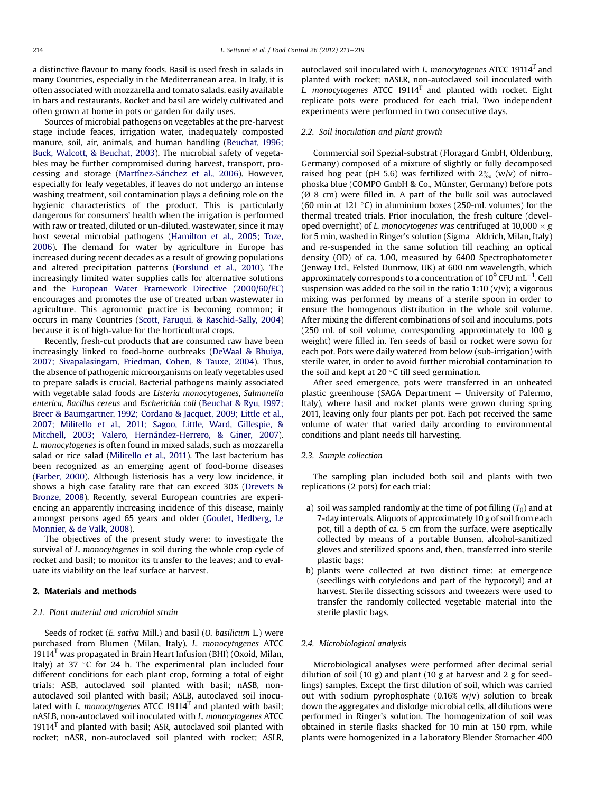a distinctive flavour to many foods. Basil is used fresh in salads in many Countries, especially in the Mediterranean area. In Italy, it is often associated with mozzarella and tomato salads, easily available in bars and restaurants. Rocket and basil are widely cultivated and often grown at home in pots or garden for daily uses.

Sources of microbial pathogens on vegetables at the pre-harvest stage include feaces, irrigation water, inadequately composted manure, soil, air, animals, and human handling [\(Beuchat, 1996;](#page-5-0) [Buck, Walcott, & Beuchat, 2003\)](#page-5-0). The microbial safety of vegetables may be further compromised during harvest, transport, processing and storage [\(Martínez-Sánchez et al., 2006\)](#page-6-0). However, especially for leafy vegetables, if leaves do not undergo an intense washing treatment, soil contamination plays a defining role on the hygienic characteristics of the product. This is particularly dangerous for consumers' health when the irrigation is performed with raw or treated, diluted or un-diluted, wastewater, since it may host several microbial pathogens ([Hamilton et al., 2005; Toze,](#page-6-0) [2006](#page-6-0)). The demand for water by agriculture in Europe has increased during recent decades as a result of growing populations and altered precipitation patterns [\(Forslund et al., 2010](#page-5-0)). The increasingly limited water supplies calls for alternative solutions and the [European Water Framework Directive \(2000/60/EC\)](#page-5-0) encourages and promotes the use of treated urban wastewater in agriculture. This agronomic practice is becoming common; it occurs in many Countries ([Scott, Faruqui, & Raschid-Sally, 2004\)](#page-6-0) because it is of high-value for the horticultural crops.

Recently, fresh-cut products that are consumed raw have been increasingly linked to food-borne outbreaks ([DeWaal & Bhuiya,](#page-5-0) [2007; Sivapalasingam, Friedman, Cohen, & Tauxe, 2004](#page-5-0)). Thus, the absence of pathogenic microorganisms on leafy vegetables used to prepare salads is crucial. Bacterial pathogens mainly associated with vegetable salad foods are Listeria monocytogenes, Salmonella enterica, Bacillus cereus and Escherichia coli [\(Beuchat & Ryu, 1997;](#page-5-0) [Breer & Baumgartner, 1992; Cordano & Jacquet, 2009; Little et al.,](#page-5-0) [2007; Militello et al., 2011; Sagoo, Little, Ward, Gillespie, &](#page-5-0) [Mitchell, 2003; Valero, Hernández-Herrero, & Giner, 2007\)](#page-5-0). L. monocytogenes is often found in mixed salads, such as mozzarella salad or rice salad ([Militello et al., 2011](#page-6-0)). The last bacterium has been recognized as an emerging agent of food-borne diseases ([Farber, 2000\)](#page-5-0). Although listeriosis has a very low incidence, it shows a high case fatality rate that can exceed 30% ([Drevets &](#page-5-0) [Bronze, 2008](#page-5-0)). Recently, several European countries are experiencing an apparently increasing incidence of this disease, mainly amongst persons aged 65 years and older [\(Goulet, Hedberg, Le](#page-6-0) [Monnier, & de Valk, 2008](#page-6-0)).

The objectives of the present study were: to investigate the survival of L. monocytogenes in soil during the whole crop cycle of rocket and basil; to monitor its transfer to the leaves; and to evaluate its viability on the leaf surface at harvest.

# 2. Materials and methods

# 2.1. Plant material and microbial strain

Seeds of rocket (E. sativa Mill.) and basil (O. basilicum L.) were purchased from Blumen (Milan, Italy). L. monocytogenes ATCC 19114 $\text{I}$  was propagated in Brain Heart Infusion (BHI) (Oxoid, Milan, Italy) at 37  $\degree$ C for 24 h. The experimental plan included four different conditions for each plant crop, forming a total of eight trials: ASB, autoclaved soil planted with basil; nASB, nonautoclaved soil planted with basil; ASLB, autoclaved soil inoculated with L. monocytogenes ATCC 19114<sup>T</sup> and planted with basil; nASLB, non-autoclaved soil inoculated with L. monocytogenes ATCC  $19114<sup>T</sup>$  and planted with basil; ASR, autoclaved soil planted with rocket; nASR, non-autoclaved soil planted with rocket; ASLR, autoclaved soil inoculated with L. monocytogenes ATCC 19114 $^T$  and planted with rocket; nASLR, non-autoclaved soil inoculated with L. monocytogenes ATCC 19114<sup>T</sup> and planted with rocket. Eight replicate pots were produced for each trial. Two independent experiments were performed in two consecutive days.

## 2.2. Soil inoculation and plant growth

Commercial soil Spezial-substrat (Floragard GmbH, Oldenburg, Germany) composed of a mixture of slightly or fully decomposed raised bog peat (pH 5.6) was fertilized with  $2\frac{\pi}{100}$  (w/v) of nitrophoska blue (COMPO GmbH & Co., Münster, Germany) before pots (Ø 8 cm) were filled in. A part of the bulk soil was autoclaved (60 min at 121 $\degree$ C) in aluminium boxes (250-mL volumes) for the thermal treated trials. Prior inoculation, the fresh culture (developed overnight) of L. monocytogenes was centrifuged at 10,000  $\times$  g for 5 min, washed in Ringer's solution (Sigma-Aldrich, Milan, Italy) and re-suspended in the same solution till reaching an optical density (OD) of ca. 1.00, measured by 6400 Spectrophotometer (Jenway Ltd., Felsted Dunmow, UK) at 600 nm wavelength, which approximately corresponds to a concentration of 10 $^9$  CFU mL $^{-1}$ . Cell suspension was added to the soil in the ratio 1:10 ( $v/v$ ); a vigorous mixing was performed by means of a sterile spoon in order to ensure the homogenous distribution in the whole soil volume. After mixing the different combinations of soil and inoculums, pots (250 mL of soil volume, corresponding approximately to 100 g weight) were filled in. Ten seeds of basil or rocket were sown for each pot. Pots were daily watered from below (sub-irrigation) with sterile water, in order to avoid further microbial contamination to the soil and kept at 20 $\degree$ C till seed germination.

After seed emergence, pots were transferred in an unheated plastic greenhouse (SAGA Department  $-$  University of Palermo, Italy), where basil and rocket plants were grown during spring 2011, leaving only four plants per pot. Each pot received the same volume of water that varied daily according to environmental conditions and plant needs till harvesting.

#### 2.3. Sample collection

The sampling plan included both soil and plants with two replications (2 pots) for each trial:

- a) soil was sampled randomly at the time of pot filling  $(T_0)$  and at 7-day intervals. Aliquots of approximately 10 g of soil from each pot, till a depth of ca. 5 cm from the surface, were aseptically collected by means of a portable Bunsen, alcohol-sanitized gloves and sterilized spoons and, then, transferred into sterile plastic bags;
- b) plants were collected at two distinct time: at emergence (seedlings with cotyledons and part of the hypocotyl) and at harvest. Sterile dissecting scissors and tweezers were used to transfer the randomly collected vegetable material into the sterile plastic bags.

# 2.4. Microbiological analysis

Microbiological analyses were performed after decimal serial dilution of soil (10 g) and plant (10 g at harvest and 2 g for seedlings) samples. Except the first dilution of soil, which was carried out with sodium pyrophosphate  $(0.16\% \text{ w/v})$  solution to break down the aggregates and dislodge microbial cells, all dilutions were performed in Ringer's solution. The homogenization of soil was obtained in sterile flasks shacked for 10 min at 150 rpm, while plants were homogenized in a Laboratory Blender Stomacher 400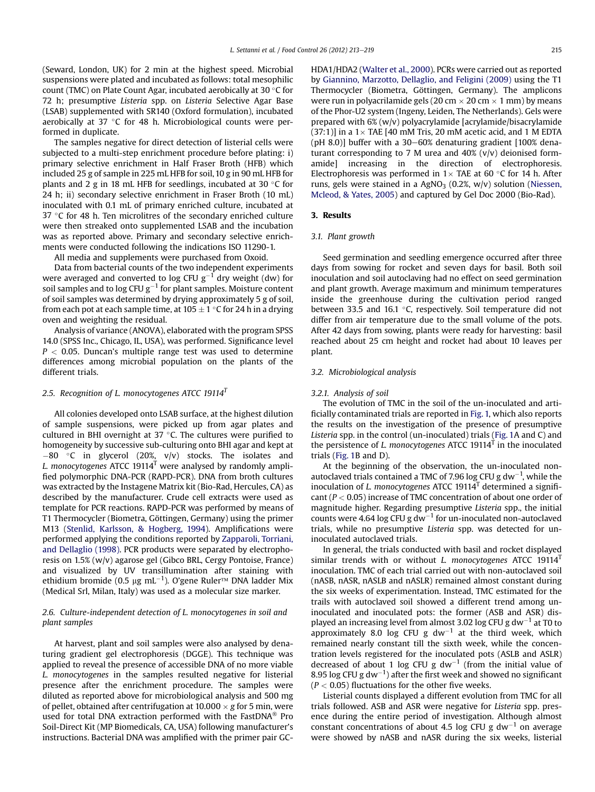(Seward, London, UK) for 2 min at the highest speed. Microbial suspensions were plated and incubated as follows: total mesophilic count (TMC) on Plate Count Agar, incubated aerobically at 30  $\degree$ C for 72 h; presumptive Listeria spp. on Listeria Selective Agar Base (LSAB) supplemented with SR140 (Oxford formulation), incubated aerobically at 37  $\degree$ C for 48 h. Microbiological counts were performed in duplicate.

The samples negative for direct detection of listerial cells were subjected to a multi-step enrichment procedure before plating: i) primary selective enrichment in Half Fraser Broth (HFB) which included 25 g of sample in 225 mL HFB for soil, 10 g in 90 mL HFB for plants and 2 g in 18 mL HFB for seedlings, incubated at 30  $\degree$ C for 24 h; ii) secondary selective enrichment in Fraser Broth (10 mL) inoculated with 0.1 mL of primary enriched culture, incubated at 37  $\degree$ C for 48 h. Ten microlitres of the secondary enriched culture were then streaked onto supplemented LSAB and the incubation was as reported above. Primary and secondary selective enrichments were conducted following the indications ISO 11290-1.

All media and supplements were purchased from Oxoid.

Data from bacterial counts of the two independent experiments were averaged and converted to log CFU  $g^{-1}$  dry weight (dw) for soil samples and to log CFU  $g^{-1}$  for plant samples. Moisture content of soil samples was determined by drying approximately 5 g of soil, from each pot at each sample time, at  $105 \pm 1$  °C for 24 h in a drying oven and weighting the residual.

Analysis of variance (ANOVA), elaborated with the program SPSS 14.0 (SPSS Inc., Chicago, IL, USA), was performed. Significance level  $P < 0.05$ . Duncan's multiple range test was used to determine differences among microbial population on the plants of the different trials.

## 2.5. Recognition of L. monocytogenes ATCC 19114 $^T$

All colonies developed onto LSAB surface, at the highest dilution of sample suspensions, were picked up from agar plates and cultured in BHI overnight at 37  $\degree$ C. The cultures were purified to homogeneity by successive sub-culturing onto BHI agar and kept at  $-80$  °C in glycerol (20%, v/v) stocks. The isolates and L. monocytogenes ATCC 19114<sup>T</sup> were analysed by randomly amplified polymorphic DNA-PCR (RAPD-PCR). DNA from broth cultures was extracted by the Instagene Matrix kit (Bio-Rad, Hercules, CA) as described by the manufacturer. Crude cell extracts were used as template for PCR reactions. RAPD-PCR was performed by means of T1 Thermocycler (Biometra, Göttingen, Germany) using the primer M13 ([Stenlid, Karlsson, & Hogberg, 1994\)](#page-6-0). Amplifications were performed applying the conditions reported by [Zapparoli, Torriani,](#page-6-0) [and Dellaglio \(1998\).](#page-6-0) PCR products were separated by electrophoresis on 1.5% (w/v) agarose gel (Gibco BRL, Cergy Pontoise, France) and visualized by UV transillumination after staining with ethidium bromide (0.5 µg mL $^{-1}$ ). O'gene Ruler™ DNA ladder Mix (Medical Srl, Milan, Italy) was used as a molecular size marker.

# 2.6. Culture-independent detection of L. monocytogenes in soil and plant samples

At harvest, plant and soil samples were also analysed by denaturing gradient gel electrophoresis (DGGE). This technique was applied to reveal the presence of accessible DNA of no more viable L. monocytogenes in the samples resulted negative for listerial presence after the enrichment procedure. The samples were diluted as reported above for microbiological analysis and 500 mg of pellet, obtained after centrifugation at  $10.000 \times g$  for 5 min, were used for total DNA extraction performed with the FastDNA $^{\circ}$  Pro Soil-Direct Kit (MP Biomedicals, CA, USA) following manufacturer's instructions. Bacterial DNA was amplified with the primer pair GC- HDA1/HDA2 ([Walter et al., 2000\)](#page-6-0). PCRs were carried out as reported by [Giannino, Marzotto, Dellaglio, and Feligini \(2009\)](#page-5-0) using the T1 Thermocycler (Biometra, Göttingen, Germany). The amplicons were run in polyacrilamide gels (20 cm  $\times$  20 cm  $\times$  1 mm) by means of the Phor-U2 system (Ingeny, Leiden, The Netherlands). Gels were prepared with 6% (w/v) polyacrylamide [acrylamide/bisacrylamide  $(37:1)$ ] in a  $1 \times$  TAE [40 mM Tris, 20 mM acetic acid, and 1 M EDTA  $(pH 8.0)$ ] buffer with a 30–60% denaturing gradient  $[100%$  denaturant corresponding to 7 M urea and  $40\%$  (v/v) deionised formamide] increasing in the direction of electrophoresis. Electrophoresis was performed in  $1 \times$  TAE at 60 °C for 14 h. After runs, gels were stained in a AgNO<sub>3</sub> (0.2%, w/v) solution [\(Niessen,](#page-6-0) [Mcleod, & Yates, 2005](#page-6-0)) and captured by Gel Doc 2000 (Bio-Rad).

### 3. Results

#### 3.1. Plant growth

Seed germination and seedling emergence occurred after three days from sowing for rocket and seven days for basil. Both soil inoculation and soil autoclaving had no effect on seed germination and plant growth. Average maximum and minimum temperatures inside the greenhouse during the cultivation period ranged between 33.5 and 16.1  $\degree$ C, respectively. Soil temperature did not differ from air temperature due to the small volume of the pots. After 42 days from sowing, plants were ready for harvesting: basil reached about 25 cm height and rocket had about 10 leaves per plant.

# 3.2. Microbiological analysis

#### 3.2.1. Analysis of soil

The evolution of TMC in the soil of the un-inoculated and artificially contaminated trials are reported in [Fig. 1,](#page-3-0) which also reports the results on the investigation of the presence of presumptive Listeria spp. in the control (un-inoculated) trials [\(Fig. 1A](#page-3-0) and C) and the persistence of L. monocytogenes ATCC 19114 $^1$  in the inoculated trials [\(Fig. 1B](#page-3-0) and D).

At the beginning of the observation, the un-inoculated nonautoclaved trials contained a TMC of 7.96 log CFU g dw<sup>-1</sup>, while the inoculation of L. monocytogenes ATCC 19114<sup>T</sup> determined a significant ( $P < 0.05$ ) increase of TMC concentration of about one order of magnitude higher. Regarding presumptive Listeria spp., the initial counts were 4.64 log CFU g dw<sup>-1</sup> for un-inoculated non-autoclaved trials, while no presumptive Listeria spp. was detected for uninoculated autoclaved trials.

In general, the trials conducted with basil and rocket displayed similar trends with or without L. monocytogenes ATCC 19114 $<sup>T</sup>$ </sup> inoculation. TMC of each trial carried out with non-autoclaved soil (nASB, nASR, nASLB and nASLR) remained almost constant during the six weeks of experimentation. Instead, TMC estimated for the trails with autoclaved soil showed a different trend among uninoculated and inoculated pots: the former (ASB and ASR) displayed an increasing level from almost 3.02 log CFU g  $dw^{-1}$  at T0 to approximately 8.0 log CFU g  $dw^{-1}$  at the third week, which remained nearly constant till the sixth week, while the concentration levels registered for the inoculated pots (ASLB and ASLR) decreased of about 1 log CFU g  $dw^{-1}$  (from the initial value of 8.95 log CFU g dw<sup>-1</sup>) after the first week and showed no significant  $(P < 0.05)$  fluctuations for the other five weeks.

Listerial counts displayed a different evolution from TMC for all trials followed. ASB and ASR were negative for Listeria spp. presence during the entire period of investigation. Although almost constant concentrations of about 4.5 log CFU g  $dw^{-1}$  on average were showed by nASB and nASR during the six weeks, listerial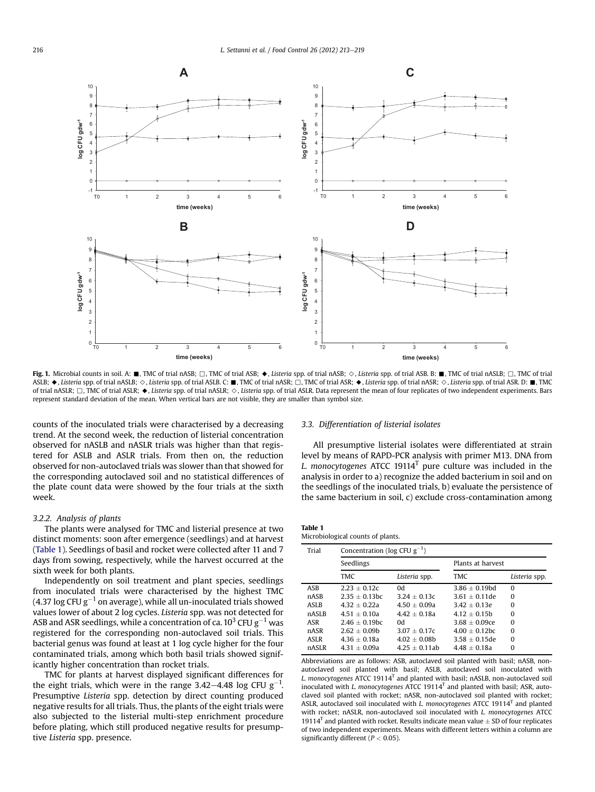<span id="page-3-0"></span>

Fig. 1. Microbial counts in soil. A:  $\blacksquare$ , TMC of trial nASB;  $\Box$ , TMC of trial ASB;  $\blacklozenge$ , Listeria spp. of trial nASB;  $\Diamond$ , Listeria spp. of trial ASB. B:  $\blacksquare$ , TMC of trial nASLB;  $\Box$ , TMC of trial ASLB;  $\bullet$ , Listeria spp. of trial nASLB;  $\diamond$ , Listeria spp. of trial ASLB. C:  $\blacksquare$ , TMC of trial nASR;  $\Box$ , TMC of trial ASR;  $\lozenge$ , TMC of trial ASR;  $\lozenge$ , TMC of trial ASR;  $\Box$ , TMC of trial ASR;  $\lozenge$ , TMC of of trial nASLR;  $\Box$ , TMC of trial ASLR;  $\blacklozenge$ , Listeria spp. of trial nASLR;  $\diamond$ , Listeria spp. of trial ASLR. Data represent the mean of four replicates of two independent experiments. Bars represent standard deviation of the mean. When vertical bars are not visible, they are smaller than symbol size.

counts of the inoculated trials were characterised by a decreasing trend. At the second week, the reduction of listerial concentration observed for nASLB and nASLR trials was higher than that registered for ASLB and ASLR trials. From then on, the reduction observed for non-autoclaved trials was slower than that showed for the corresponding autoclaved soil and no statistical differences of the plate count data were showed by the four trials at the sixth week.

## 3.2.2. Analysis of plants

The plants were analysed for TMC and listerial presence at two distinct moments: soon after emergence (seedlings) and at harvest (Table 1). Seedlings of basil and rocket were collected after 11 and 7 days from sowing, respectively, while the harvest occurred at the sixth week for both plants.

Independently on soil treatment and plant species, seedlings from inoculated trials were characterised by the highest TMC (4.37 log CFU  $g^{-1}$  on average), while all un-inoculated trials showed values lower of about 2 log cycles. Listeria spp. was not detected for ASB and ASR seedlings, while a concentration of ca.  $10^3$  CFU  $g^{-1}$  was registered for the corresponding non-autoclaved soil trials. This bacterial genus was found at least at 1 log cycle higher for the four contaminated trials, among which both basil trials showed significantly higher concentration than rocket trials.

TMC for plants at harvest displayed significant differences for the eight trials, which were in the range 3.42–4.48 log CFU  $\rm g^{-1}$ . Presumptive Listeria spp. detection by direct counting produced negative results for all trials. Thus, the plants of the eight trials were also subjected to the listerial multi-step enrichment procedure before plating, which still produced negative results for presumptive Listeria spp. presence.

#### 3.3. Differentiation of listerial isolates

All presumptive listerial isolates were differentiated at strain level by means of RAPD-PCR analysis with primer M13. DNA from L. monocytogenes ATCC 19114<sup>T</sup> pure culture was included in the analysis in order to a) recognize the added bacterium in soil and on the seedlings of the inoculated trials, b) evaluate the persistence of the same bacterium in soil, c) exclude cross-contamination among

| Table 1                           |  |
|-----------------------------------|--|
| Microbiological counts of plants. |  |

| Trial       | Concentration ( $log CFU g^{-1}$ ) |                 |                   |               |
|-------------|------------------------------------|-----------------|-------------------|---------------|
|             | Seedlings                          |                 | Plants at harvest |               |
|             | TMC                                | Listeria spp.   | <b>TMC</b>        | Listeria spp. |
| <b>ASB</b>  | $2.23 + 0.12c$                     | 0d              | $3.86 + 0.19$ bd  | O             |
| nASB        | $2.35 + 0.13$ bc                   | $3.24 + 0.13c$  | $3.61 + 0.11$ de  | O             |
| ASLB        | $4.32 + 0.22a$                     | $4.50 + 0.09a$  | $3.42 + 0.13e$    | O             |
| n ASLB      | $451 + 010a$                       | $4.42 + 0.18a$  | $4.12 + 0.15h$    | O             |
| ASR         | $2.46 + 0.19$ bc                   | 0d              | $3.68 + 0.09$ ce  | O             |
| nASR        | $2.62 + 0.09b$                     | $3.07 + 0.17c$  | $4.00 + 0.12$ bc  | 0             |
| <b>ASLR</b> | $4.36 + 0.18a$                     | $4.02 + 0.08$   | $3.58 + 0.15$ de  | 0             |
| n ASLR      | $4.31 + 0.09a$                     | $4.25 + 0.11ab$ | $4.48 + 0.18a$    | O             |

Abbreviations are as follows: ASB, autoclaved soil planted with basil; nASB, nonautoclaved soil planted with basil; ASLB, autoclaved soil inoculated with L. monocytogenes ATCC 19114<sup>T</sup> and planted with basil; nASLB, non-autoclaved soil inoculated with L. monocytogenes ATCC 19114 $<sup>T</sup>$  and planted with basil; ASR, auto-</sup> claved soil planted with rocket; nASR, non-autoclaved soil planted with rocket; ASLR, autoclaved soil inoculated with *L. monocytogenes* ATCC 19114<sup>T</sup> and planted with rocket; nASLR, non-autoclaved soil inoculated with L. monocytogenes ATCC 19114<sup>T</sup> and planted with rocket. Results indicate mean value  $\pm$  SD of four replicates of two independent experiments. Means with different letters within a column are significantly different ( $P < 0.05$ ).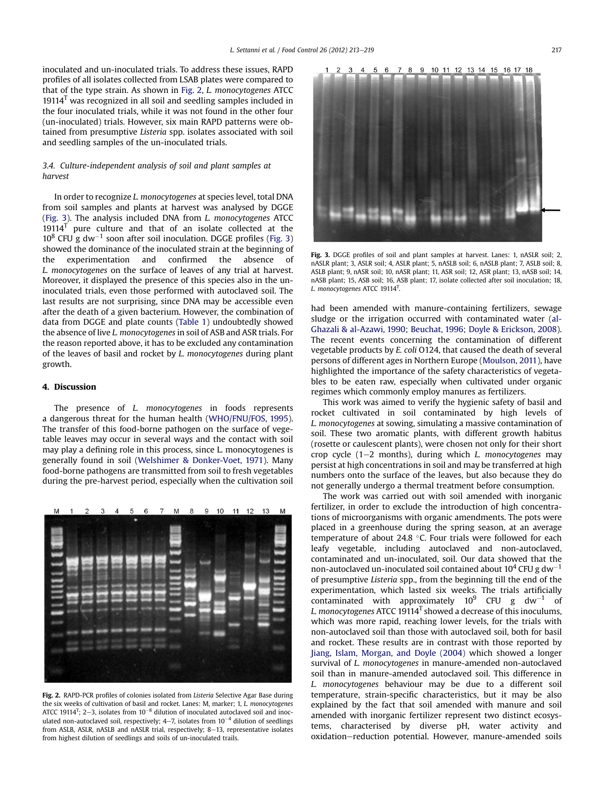inoculated and un-inoculated trials. To address these issues, RAPD profiles of all isolates collected from LSAB plates were compared to that of the type strain. As shown in Fig. 2, L. monocytogenes ATCC  $19114<sup>T</sup>$  was recognized in all soil and seedling samples included in the four inoculated trials, while it was not found in the other four (un-inoculated) trials. However, six main RAPD patterns were obtained from presumptive Listeria spp. isolates associated with soil and seedling samples of the un-inoculated trials.

# 3.4. Culture-independent analysis of soil and plant samples at harvest

In order to recognize L. monocytogenes at species level, total DNA from soil samples and plants at harvest was analysed by DGGE (Fig. 3). The analysis included DNA from L. monocytogenes ATCC  $19114<sup>T</sup>$  pure culture and that of an isolate collected at the  $10^8$  CFU g dw<sup>-1</sup> soon after soil inoculation. DGGE profiles (Fig. 3) showed the dominance of the inoculated strain at the beginning of the experimentation and confirmed the absence of L. monocytogenes on the surface of leaves of any trial at harvest. Moreover, it displayed the presence of this species also in the uninoculated trials, even those performed with autoclaved soil. The last results are not surprising, since DNA may be accessible even after the death of a given bacterium. However, the combination of data from DGGE and plate counts [\(Table 1\)](#page-3-0) undoubtedly showed the absence of live L. monocytogenes in soil of ASB and ASR trials. For the reason reported above, it has to be excluded any contamination of the leaves of basil and rocket by L. monocytogenes during plant growth.

## 4. Discussion

The presence of *L. monocytogenes* in foods represents a dangerous threat for the human health ([WHO/FNU/FOS, 1995\)](#page-6-0). The transfer of this food-borne pathogen on the surface of vegetable leaves may occur in several ways and the contact with soil may play a defining role in this process, since L. monocytogenes is generally found in soil [\(Welshimer & Donker-Voet, 1971\)](#page-6-0). Many food-borne pathogens are transmitted from soil to fresh vegetables during the pre-harvest period, especially when the cultivation soil



Fig. 2. RAPD-PCR profiles of colonies isolated from Listeria Selective Agar Base during the six weeks of cultivation of basil and rocket. Lanes: M, marker; 1, L. monocytogenes ATCC 19114<sup>T</sup>; 2–3, isolates from 10<sup>-8</sup> dilution of inoculated autoclaved soil and inoculated non-autoclaved soil, respectively;  $4-7$ , isolates from  $10^{-4}$  dilution of seedlings from ASLB, ASLR, nASLB and nASLR trial, respectively;  $8-13$ , representative isolates from highest dilution of seedlings and soils of un-inoculated trails.



Fig. 3. DGGE profiles of soil and plant samples at harvest. Lanes: 1, nASLR soil; 2, nASLR plant; 3, ASLR soil; 4, ASLR plant; 5, nASLB soil; 6, nASLB plant; 7, ASLB soil; 8, ASLB plant; 9, nASR soil; 10, nASR plant; 11, ASR soil; 12, ASR plant; 13, nASB soil; 14, nASB plant; 15, ASB soil; 16, ASB plant; 17, isolate collected after soil inoculation; 18, L. monocytogenes ATCC 19114<sup>T</sup>.

had been amended with manure-containing fertilizers, sewage sludge or the irrigation occurred with contaminated water ([al-](#page-5-0)[Ghazali & al-Azawi, 1990; Beuchat, 1996; Doyle & Erickson, 2008\)](#page-5-0). The recent events concerning the contamination of different vegetable products by E. coli O124, that caused the death of several persons of different ages in Northern Europe [\(Moulson, 2011\)](#page-6-0), have highlighted the importance of the safety characteristics of vegetables to be eaten raw, especially when cultivated under organic regimes which commonly employ manures as fertilizers.

This work was aimed to verify the hygienic safety of basil and rocket cultivated in soil contaminated by high levels of L. monocytogenes at sowing, simulating a massive contamination of soil. These two aromatic plants, with different growth habitus (rosette or caulescent plants), were chosen not only for their short crop cycle  $(1-2$  months), during which *L. monocytogenes* may persist at high concentrations in soil and may be transferred at high numbers onto the surface of the leaves, but also because they do not generally undergo a thermal treatment before consumption.

The work was carried out with soil amended with inorganic fertilizer, in order to exclude the introduction of high concentrations of microorganisms with organic amendments. The pots were placed in a greenhouse during the spring season, at an average temperature of about 24.8  $\degree$ C. Four trials were followed for each leafy vegetable, including autoclaved and non-autoclaved, contaminated and un-inoculated, soil. Our data showed that the non-autoclaved un-inoculated soil contained about  $10^4$  CFU g dw<sup>-1</sup> of presumptive Listeria spp., from the beginning till the end of the experimentation, which lasted six weeks. The trials artificially contaminated with approximately  $10^9$  CFU g dw<sup>-1</sup> of L. monocytogenes ATCC 19114<sup>T</sup> showed a decrease of this inoculums, which was more rapid, reaching lower levels, for the trials with non-autoclaved soil than those with autoclaved soil, both for basil and rocket. These results are in contrast with those reported by [Jiang, Islam, Morgan, and Doyle \(2004\)](#page-6-0) which showed a longer survival of L. monocytogenes in manure-amended non-autoclaved soil than in manure-amended autoclaved soil. This difference in L. monocytogenes behaviour may be due to a different soil temperature, strain-specific characteristics, but it may be also explained by the fact that soil amended with manure and soil amended with inorganic fertilizer represent two distinct ecosystems, characterised by diverse pH, water activity and oxidation-reduction potential. However, manure-amended soils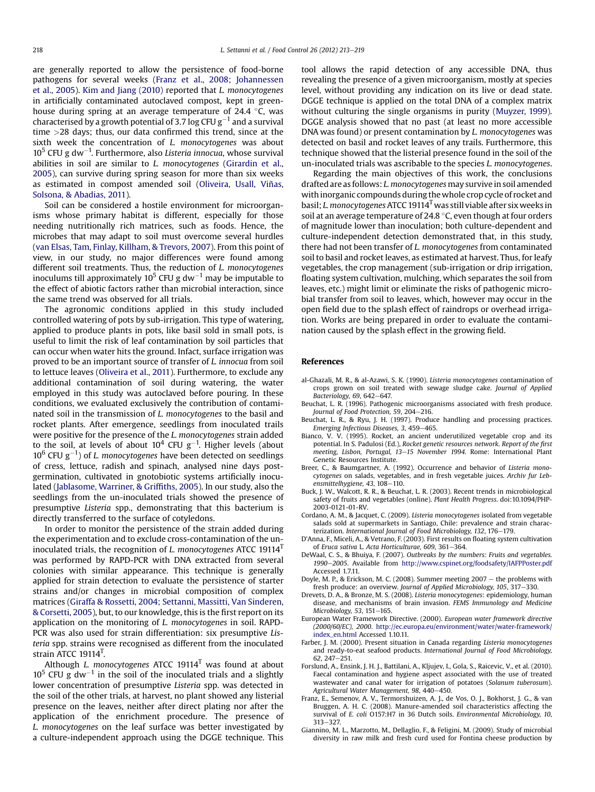<span id="page-5-0"></span>are generally reported to allow the persistence of food-borne pathogens for several weeks (Franz et al., 2008; Johannessen et al., 2005). [Kim and Jiang \(2010\)](#page-6-0) reported that L. monocytogenes in artificially contaminated autoclaved compost, kept in greenhouse during spring at an average temperature of 24.4  $\degree$ C, was characterised by a growth potential of 3.7 log CFU  $g^{-1}$  and a survival time >28 days; thus, our data confirmed this trend, since at the sixth week the concentration of L. monocytogenes was about  $10^5$  CFU g dw<sup>-1</sup>. Furthermore, also Listeria innocua, whose survival abilities in soil are similar to L. monocytogenes [\(Girardin et al.,](#page-6-0) [2005](#page-6-0)), can survive during spring season for more than six weeks as estimated in compost amended soil ([Oliveira, Usall, Viñas,](#page-6-0) [Solsona, & Abadias, 2011](#page-6-0)).

Soil can be considered a hostile environment for microorganisms whose primary habitat is different, especially for those needing nutritionally rich matrices, such as foods. Hence, the microbes that may adapt to soil must overcome several hurdles ([van Elsas, Tam, Finlay, Killham, & Trevors, 2007\)](#page-6-0). From this point of view, in our study, no major differences were found among different soil treatments. Thus, the reduction of L. monocytogenes inoculums till approximately 10<sup>5</sup> CFU g dw<sup>-1</sup> may be imputable to the effect of abiotic factors rather than microbial interaction, since the same trend was observed for all trials.

The agronomic conditions applied in this study included controlled watering of pots by sub-irrigation. This type of watering, applied to produce plants in pots, like basil sold in small pots, is useful to limit the risk of leaf contamination by soil particles that can occur when water hits the ground. Infact, surface irrigation was proved to be an important source of transfer of L. innocua from soil to lettuce leaves ([Oliveira et al., 2011](#page-6-0)). Furthermore, to exclude any additional contamination of soil during watering, the water employed in this study was autoclaved before pouring. In these conditions, we evaluated exclusively the contribution of contaminated soil in the transmission of L. monocytogenes to the basil and rocket plants. After emergence, seedlings from inoculated trails were positive for the presence of the L. monocytogenes strain added to the soil, at levels of about  $10^4$  CFU  $\rm g^{-1}$ . Higher levels (about  $10^6$  CFU g<sup>-1</sup>) of *L. monocytogenes* have been detected on seedlings of cress, lettuce, radish and spinach, analysed nine days postgermination, cultivated in gnotobiotic systems artificially inoculated ([Jablasome, Warriner, & Grif](#page-6-0)fiths, 2005). In our study, also the seedlings from the un-inoculated trials showed the presence of presumptive Listeria spp., demonstrating that this bacterium is directly transferred to the surface of cotyledons.

In order to monitor the persistence of the strain added during the experimentation and to exclude cross-contamination of the uninoculated trials, the recognition of  $L$  monocytogenes ATCC 19114<sup>T</sup> was performed by RAPD-PCR with DNA extracted from several colonies with similar appearance. This technique is generally applied for strain detection to evaluate the persistence of starter strains and/or changes in microbial composition of complex matrices [\(Giraffa & Rossetti, 2004; Settanni, Massitti, Van Sinderen,](#page-6-0) [& Corsetti, 2005](#page-6-0)), but, to our knowledge, this is the first report on its application on the monitoring of L. monocytogenes in soil. RAPD-PCR was also used for strain differentiation: six presumptive Listeria spp. strains were recognised as different from the inoculated strain ATCC 19114 $^{\mathrm{T}}$ .

Although *L. monocytogenes* ATCC 19114<sup>T</sup> was found at about  $10^5$  CFU g dw<sup>-1</sup> in the soil of the inoculated trials and a slightly lower concentration of presumptive Listeria spp. was detected in the soil of the other trials, at harvest, no plant showed any listerial presence on the leaves, neither after direct plating nor after the application of the enrichment procedure. The presence of L. monocytogenes on the leaf surface was better investigated by a culture-independent approach using the DGGE technique. This tool allows the rapid detection of any accessible DNA, thus revealing the presence of a given microorganism, mostly at species level, without providing any indication on its live or dead state. DGGE technique is applied on the total DNA of a complex matrix without culturing the single organisms in purity ([Muyzer, 1999\)](#page-6-0). DGGE analysis showed that no past (at least no more accessible DNA was found) or present contamination by L. monocytogenes was detected on basil and rocket leaves of any trails. Furthermore, this technique showed that the listerial presence found in the soil of the un-inoculated trials was ascribable to the species L. monocytogenes.

Regarding the main objectives of this work, the conclusions drafted are as follows: L. monocytogenes may survive in soil amended with inorganic compounds during the whole crop cycle of rocket and basil; L. monocytogenes ATCC 19114<sup>T</sup> was still viable after six weeks in soil at an average temperature of 24.8  $\degree$ C, even though at four orders of magnitude lower than inoculation; both culture-dependent and culture-independent detection demonstrated that, in this study, there had not been transfer of L. monocytogenes from contaminated soil to basil and rocket leaves, as estimated at harvest. Thus, for leafy vegetables, the crop management (sub-irrigation or drip irrigation, floating system cultivation, mulching, which separates the soil from leaves, etc.) might limit or eliminate the risks of pathogenic microbial transfer from soil to leaves, which, however may occur in the open field due to the splash effect of raindrops or overhead irrigation. Works are being prepared in order to evaluate the contamination caused by the splash effect in the growing field.

#### References

- al-Ghazali, M. R., & al-Azawi, S. K. (1990). Listeria monocytogenes contamination of crops grown on soil treated with sewage sludge cake. Journal of Applied Bacteriology, 69, 642-647.
- Beuchat, L. R. (1996). Pathogenic microorganisms associated with fresh produce. Journal of Food Protection, 59, 204-216.
- Beuchat, L. R., & Ryu, J. H. (1997). Produce handling and processing practices. Emerging Infectious Diseases, 3, 459-465.
- Bianco, V. V. (1995). Rocket, an ancient underutilized vegetable crop and its potential. In S. Padulosi (Ed.), Rocket genetic resources network. Report of the first meeting, Lisbon, Portugal, 13-15 November 1994. Rome: International Plant Genetic Resources Institute.
- Breer, C., & Baumgartner, A. (1992). Occurrence and behavior of Listeria monocytogenes on salads, vegetables, and in fresh vegetable juices. Archiv fur Lebensmittelhygiene, 43,  $108-110$ .
- Buck, J. W., Walcott, R. R., & Beuchat, L. R. (2003). Recent trends in microbiological safety of fruits and vegetables (online). Plant Health Progress. doi:10.1094/PHP-2003-0121-01-RV.
- Cordano, A. M., & Jacquet, C. (2009). Listeria monocytogenes isolated from vegetable salads sold at supermarkets in Santiago, Chile: prevalence and strain characterization. International Journal of Food Microbiology, 132, 176-179.
- D'Anna, F., Miceli, A., & Vetrano, F. (2003). First results on floating system cultivation of Eruca sativa L. Acta Horticulturae, 609, 361-364.
- DeWaal, C. S., & Bhuiya, F. (2007). Outbreaks by the numbers: Fruits and vegetables. 1990-2005. Available from <http://www.cspinet.org/foodsafety/IAFPPoster.pdf> Accessed 1711
- Doyle, M. P., & Erickson, M. C. (2008). Summer meeting  $2007 -$  the problems with fresh produce: an overview. Journal of Applied Microbiology, 105, 317-330.
- Drevets, D. A., & Bronze, M. S. (2008). Listeria monocytogenes: epidemiology, human disease, and mechanisms of brain invasion. FEMS Immunology and Medicine Microbiology, 53, 151-165.
- European Water Framework Directive. (2000). European water framework directive (2000/60/EC), 2000. [http://ec.europa.eu/environment/water/water-framework/](http://ec.europa.eu/environment/water/water-framework/index_en.html) [index\\_en.html](http://ec.europa.eu/environment/water/water-framework/index_en.html) Accessed 1.10.11.
- Farber, J. M. (2000). Present situation in Canada regarding Listeria monocytogenes and ready-to-eat seafood products. International Journal of Food Microbiology,  $62, 247 - 251$
- Forslund, A., Ensink, J. H. J., Battilani, A., Kljujev, I., Gola, S., Raicevic, V., et al. (2010). Faecal contamination and hygiene aspect associated with the use of treated wastewater and canal water for irrigation of potatoes (Solanum tuberosum). Agricultural Water Management, 98, 440-450.
- Franz, E., Semenov, A. V., Termorshuizen, A. J., de Vos, O. J., Bokhorst, J. G., & van Bruggen, A. H. C. (2008). Manure-amended soil characteristics affecting the survival of E. coli O157:H7 in 36 Dutch soils. Environmental Microbiology, 10,  $313 - 327$
- Giannino, M. L., Marzotto, M., Dellaglio, F., & Feligini, M. (2009). Study of microbial diversity in raw milk and fresh curd used for Fontina cheese production by